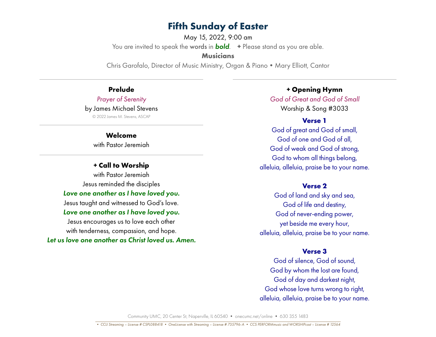May 15, 2022, 9:00 am You are invited to speak the words in *bold*. **+** Please stand as you are able. **Musicians**

Chris Garofalo, Director of Music Ministry, Organ & Piano • Mary Elliott, Cantor

### **Prelude**

*Prayer of Serenity* by James Michael Stevens

© 2022 James M. Stevens, ASCAP

### **Welcome**

with Pastor Jeremiah

## **+ Call to Worship**

with Pastor Jeremiah Jesus reminded the disciples *Love one another as I have loved you.* Jesus taught and witnessed to God's love. *Love one another as I have loved you.* Jesus encourages us to love each other with tenderness, compassion, and hope. *Let us love one another as Christ loved us. Amen.*

## **+ Opening Hymn**

*God of Great and God of Small*  Worship & Song #3033

### **Verse 1**

God of great and God of small, God of one and God of all, God of weak and God of strong, God to whom all things belong, alleluia, alleluia, praise be to your name.

#### **Verse 2**

God of land and sky and sea, God of life and destiny, God of never-ending power, yet beside me every hour, alleluia, alleluia, praise be to your name.

#### **Verse 3**

God of silence, God of sound, God by whom the lost are found, God of day and darkest night, God whose love turns wrong to right, alleluia, alleluia, praise be to your name.

Community UMC, 20 Center St, Naperville, IL 60540 • onecumc.net/online • 630 355 1483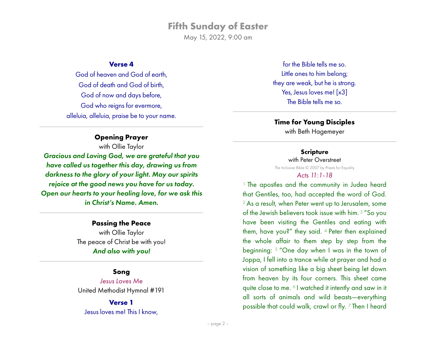May 15, 2022, 9:00 am

## **Verse 4**

God of heaven and God of earth, God of death and God of birth, God of now and days before, God who reigns for evermore, alleluia, alleluia, praise be to your name.

#### **Opening Prayer**

with Ollie Taylor *Gracious and Loving God, we are grateful that you have called us together this day, drawing us from darkness to the glory of your light. May our spirits rejoice at the good news you have for us today. Open our hearts to your healing love, for we ask this in Christ's Name. Amen.*

#### **Passing the Peace**

with Ollie Taylor The peace of Christ be with you! *And also with you!*

#### **Song**

*Jesus Loves Me* United Methodist Hymnal #191

#### **Verse 1**

Jesus loves me! This I know,

for the Bible tells me so. Little ones to him belong; they are weak, but he is strong. Yes, Jesus loves me! [x3] The Bible tells me so.

#### **Time for Young Disciples**

with Beth Hagemeyer

## **Scripture** with Peter Overstreet

The Inclusive Bible © 2007 by Priests for Equality

#### *Acts 11:1-18*

<sup>1</sup> The apostles and the community in Judea heard that Gentiles, too, had accepted the word of God. <sup>2</sup> As a result, when Peter went up to Jerusalem, some of the Jewish believers took issue with him. 3 "So you have been visiting the Gentiles and eating with them, have you?" they said. 4 Peter then explained the whole affair to them step by step from the beginning: 5 "One day when I was in the town of Joppa, I fell into a trance while at prayer and had a vision of something like a big sheet being let down from heaven by its four corners. This sheet came quite close to me. 6 I watched it intently and saw in it all sorts of animals and wild beasts—everything possible that could walk, crawl or fly. 7 Then I heard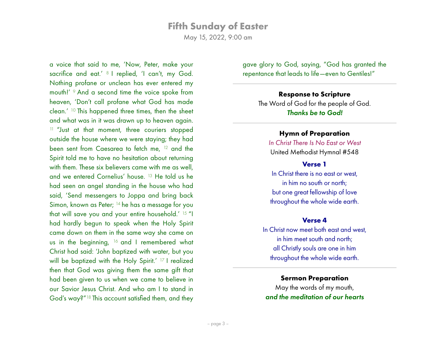May 15, 2022, 9:00 am

a voice that said to me, 'Now, Peter, make your sacrifice and eat.' 8 I replied, 'I can't, my God. Nothing profane or unclean has ever entered my mouth!' 9 And a second time the voice spoke from heaven, 'Don't call profane what God has made clean.' 10 This happened three times, then the sheet and what was in it was drawn up to heaven again. <sup>11</sup> "Just at that moment, three couriers stopped outside the house where we were staying; they had been sent from Caesarea to fetch me, 12 and the Spirit told me to have no hesitation about returning with them. These six believers came with me as well, and we entered Cornelius' house. 13 He told us he had seen an angel standing in the house who had said, 'Send messengers to Joppa and bring back Simon, known as Peter; <sup>14</sup> he has a message for you that will save you and your entire household.' 15 "I had hardly begun to speak when the Holy Spirit came down on them in the same way she came on us in the beginning, <sup>16</sup> and I remembered what Christ had said: 'John baptized with water, but you will be baptized with the Holy Spirit.' <sup>17</sup> I realized then that God was giving them the same gift that had been given to us when we came to believe in our Savior Jesus Christ. And who am I to stand in God's way?"18 This account satisfied them, and they gave glory to God, saying, "God has granted the repentance that leads to life—even to Gentiles!"

### **Response to Scripture**

The Word of God for the people of God. *Thanks be to God!*

## **Hymn of Preparation**

*In Christ There Is No East or West* United Methodist Hymnal #548

#### **Verse 1**

In Christ there is no east or west, in him no south or north; but one great fellowship of love throughout the whole wide earth.

## **Verse 4**

In Christ now meet both east and west, in him meet south and north; all Christly souls are one in him throughout the whole wide earth.

## **Sermon Preparation**

May the words of my mouth, *and the meditation of our hearts*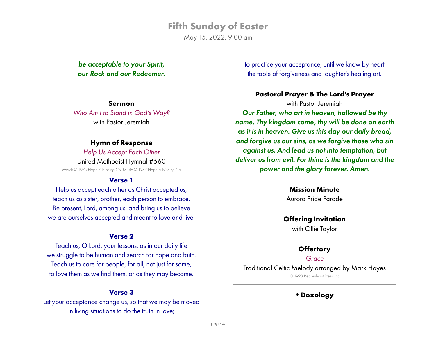May 15, 2022, 9:00 am

## *be acceptable to your Spirit, our Rock and our Redeemer.*

**Sermon** *Who Am I to Stand in God's Way?*

with Pastor Jeremiah

## **Hymn of Response**

*Help Us Accept Each Other*

United Methodist Hymnal #560

Words © 1975 Hope Publishing Co; Music © 1977 Hope Publishing Co

## **Verse 1**

Help us accept each other as Christ accepted us; teach us as sister, brother, each person to embrace. Be present, Lord, among us, and bring us to believe we are ourselves accepted and meant to love and live.

## **Verse 2**

Teach us, O Lord, your lessons, as in our daily life we struggle to be human and search for hope and faith. Teach us to care for people, for all, not just for some, to love them as we find them, or as they may become.

## **Verse 3**

Let your acceptance change us, so that we may be moved in living situations to do the truth in love;

to practice your acceptance, until we know by heart the table of forgiveness and laughter's healing art.

## **Pastoral Prayer & The Lord's Prayer**

with Pastor Jeremiah *Our Father, who art in heaven, hallowed be thy name. Thy kingdom come, thy will be done on earth as it is in heaven. Give us this day our daily bread, and forgive us our sins, as we forgive those who sin against us. And lead us not into temptation, but deliver us from evil. For thine is the kingdom and the power and the glory forever. Amen.*

> **Mission Minute** Aurora Pride Parade

# **Offering Invitation**

with Ollie Taylor

## **Offertory**

*Grace* Traditional Celtic Melody arranged by Mark Hayes © 1993 Beckenhorst Press, Inc

**+ Doxology**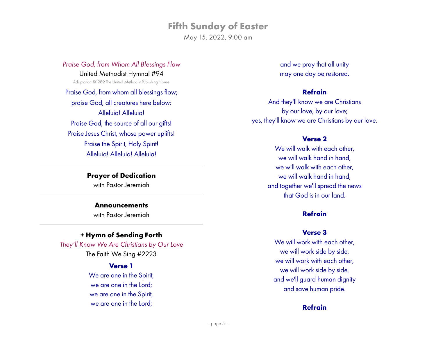May 15, 2022, 9:00 am

*Praise God, from Whom All Blessings Flow* United Methodist Hymnal #94 Adaptation ©1989 The United Methodist Publishing House Praise God, from whom all blessings flow; praise God, all creatures here below: Alleluia! Alleluia! Praise God, the source of all our gifts! Praise Jesus Christ, whose power uplifts! Praise the Spirit, Holy Spirit! Alleluia! Alleluia! Alleluia!

**Prayer of Dedication**

with Pastor Jeremiah

#### **Announcements**

with Pastor Jeremiah

## **+ Hymn of Sending Forth**

*They'll Know We Are Christians by Our Love* The Faith We Sing #2223

## **Verse 1**

We are one in the Spirit, we are one in the Lord; we are one in the Spirit, we are one in the Lord;

and we pray that all unity may one day be restored.

## **Refrain**

And they'll know we are Christians by our love, by our love; yes, they'll know we are Christians by our love.

#### **Verse 2**

We will walk with each other. we will walk hand in hand. we will walk with each other, we will walk hand in hand, and together we'll spread the news that God is in our land.

## **Refrain**

## **Verse 3**

We will work with each other, we will work side by side, we will work with each other, we will work side by side, and we'll guard human dignity and save human pride.

## **Refrain**